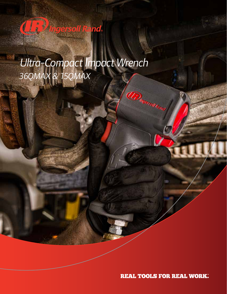# **IB** Ingersoll Rand

*Ultra-Compact Impact Wrench 36QMAX & 15QMAX*

**REAL TOOLS FOR REAL WORK.** 

**Dingerson**